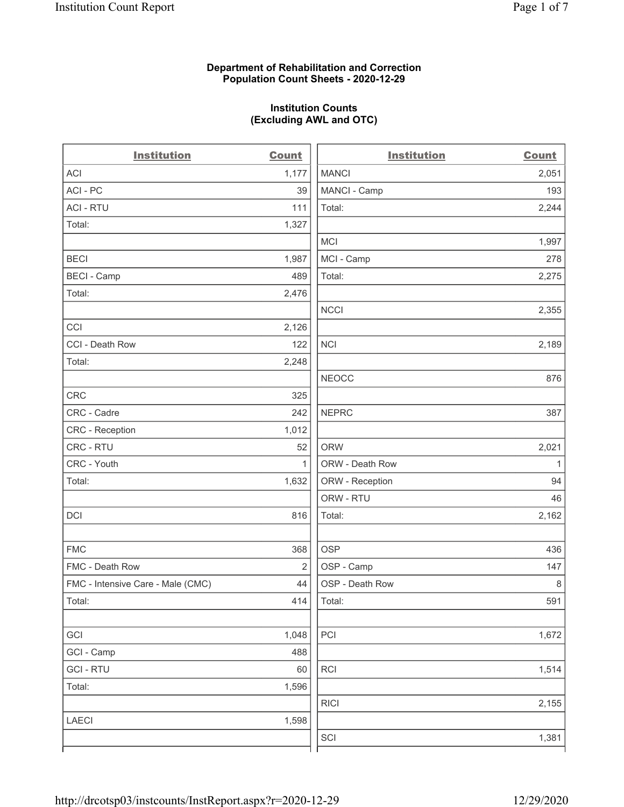### Department of Rehabilitation and Correction Population Count Sheets - 2020-12-29

### Institution Counts (Excluding AWL and OTC)

 $\overline{a}$ 

| <b>Institution</b>                | <b>Count</b>   | <b>Institution</b> | <b>Count</b> |
|-----------------------------------|----------------|--------------------|--------------|
| <b>ACI</b>                        | 1,177          | <b>MANCI</b>       | 2,051        |
| ACI-PC                            | 39             | MANCI - Camp       | 193          |
| <b>ACI - RTU</b>                  | 111            | Total:             | 2,244        |
| Total:                            | 1,327          |                    |              |
|                                   |                | <b>MCI</b>         | 1,997        |
| <b>BECI</b>                       | 1,987          | MCI - Camp         | 278          |
| <b>BECI - Camp</b>                | 489            | Total:             | 2,275        |
| Total:                            | 2,476          |                    |              |
|                                   |                | <b>NCCI</b>        | 2,355        |
| CCI                               | 2,126          |                    |              |
| CCI - Death Row                   | 122            | <b>NCI</b>         | 2,189        |
| Total:                            | 2,248          |                    |              |
|                                   |                | <b>NEOCC</b>       | 876          |
| <b>CRC</b>                        | 325            |                    |              |
| CRC - Cadre                       | 242            | <b>NEPRC</b>       | 387          |
| CRC - Reception                   | 1,012          |                    |              |
| CRC - RTU                         | 52             | <b>ORW</b>         | 2,021        |
| CRC - Youth                       | $\mathbf{1}$   | ORW - Death Row    | $\mathbf{1}$ |
| Total:                            | 1,632          | ORW - Reception    | 94           |
|                                   |                | ORW - RTU          | 46           |
| DCI                               | 816            | Total:             | 2,162        |
| <b>FMC</b>                        | 368            | <b>OSP</b>         | 436          |
| FMC - Death Row                   | $\overline{2}$ | OSP - Camp         | 147          |
| FMC - Intensive Care - Male (CMC) | 44             | OSP - Death Row    | $\,8\,$      |
| Total:                            | 414            | Total:             | 591          |
| GCI                               | 1,048          | PCI                | 1,672        |
| GCI - Camp                        | 488            |                    |              |
| <b>GCI-RTU</b>                    | 60             | RCI                | 1,514        |
| Total:                            | 1,596          |                    |              |
|                                   |                | <b>RICI</b>        | 2,155        |
| <b>LAECI</b>                      | 1,598          |                    |              |
|                                   |                | SCI                | 1,381        |
|                                   |                |                    |              |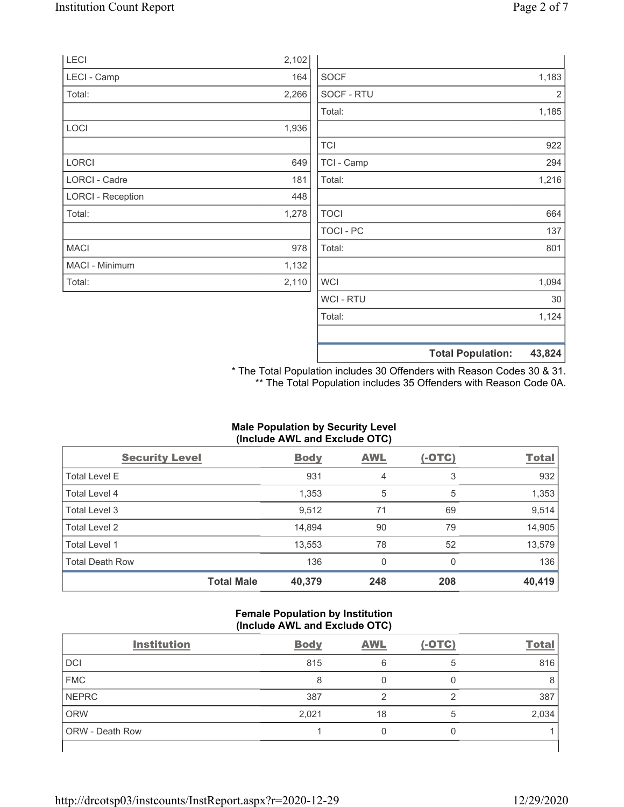|                          |       |                | <b>Total Population:</b> | 43,824 |
|--------------------------|-------|----------------|--------------------------|--------|
|                          |       |                |                          |        |
|                          |       | Total:         |                          | 1,124  |
|                          |       | <b>WCI-RTU</b> |                          | 30     |
| Total:                   | 2,110 | <b>WCI</b>     |                          | 1,094  |
| MACI - Minimum           | 1,132 |                |                          |        |
| <b>MACI</b>              | 978   | Total:         |                          | 801    |
|                          |       | TOCI - PC      |                          | 137    |
| Total:                   | 1,278 | <b>TOCI</b>    |                          | 664    |
| <b>LORCI - Reception</b> | 448   |                |                          |        |
| LORCI - Cadre            | 181   | Total:         |                          | 1,216  |
| LORCI                    | 649   | TCI - Camp     |                          | 294    |
|                          |       | <b>TCI</b>     |                          | 922    |
| LOCI                     | 1,936 |                |                          |        |
|                          |       | Total:         |                          | 1,185  |
| Total:                   | 2,266 | SOCF - RTU     |                          | 2      |
| LECI - Camp              | 164   | <b>SOCF</b>    |                          | 1,183  |
| LECI                     | 2,102 |                |                          |        |

\* The Total Population includes 30 Offenders with Reason Codes 30 & 31. \*\* The Total Population includes 35 Offenders with Reason Code 0A.

### Male Population by Security Level (Include AWL and Exclude OTC)

| <b>Security Level</b>  |                   | <b>Body</b> | <b>AWL</b> | $(-OTC)$ | <b>Total</b> |
|------------------------|-------------------|-------------|------------|----------|--------------|
| Total Level E          |                   | 931         | 4          | 3        | 932          |
| Total Level 4          |                   | 1,353       | 5          | 5        | 1,353        |
| Total Level 3          |                   | 9,512       | 71         | 69       | 9,514        |
| Total Level 2          |                   | 14,894      | 90         | 79       | 14,905       |
| Total Level 1          |                   | 13,553      | 78         | 52       | 13,579       |
| <b>Total Death Row</b> |                   | 136         | 0          | $\Omega$ | 136          |
|                        | <b>Total Male</b> | 40,379      | 248        | 208      | 40,419       |

#### Female Population by Institution (Include AWL and Exclude OTC)

| <b>Institution</b> | <b>Body</b> | <b>AWL</b> | $(-OTC)$ | <b>Total</b> |
|--------------------|-------------|------------|----------|--------------|
| DCI                | 815         | 6          | 5        | 816          |
| <b>FMC</b>         | 8           |            |          |              |
| <b>NEPRC</b>       | 387         |            | ◠        | 387          |
| <b>ORW</b>         | 2,021       | 18         |          | 2,034        |
| ORW - Death Row    |             |            |          |              |
|                    |             |            |          |              |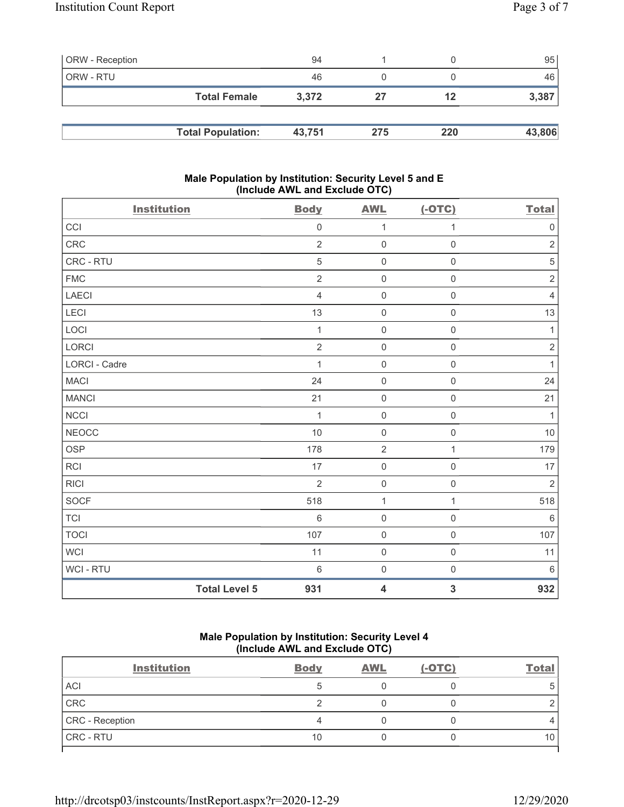| <b>ORW</b> - Reception |                          | 94     |     |     | 95     |
|------------------------|--------------------------|--------|-----|-----|--------|
| ORW - RTU              |                          | 46     |     |     | 46     |
|                        | <b>Total Female</b>      | 3.372  | 27  | 12  | 3,387  |
|                        |                          |        |     |     |        |
|                        | <b>Total Population:</b> | 43,751 | 275 | 220 | 43,806 |

### Male Population by Institution: Security Level 5 and E (Include AWL and Exclude OTC)

| <b>Institution</b>   |                      | <b>Body</b>    | <b>AWL</b>          | $(-OTC)$            | <b>Total</b>   |
|----------------------|----------------------|----------------|---------------------|---------------------|----------------|
| CCI                  |                      | $\mathbf 0$    | 1                   | 1                   | $\mathbf 0$    |
| <b>CRC</b>           |                      | $\overline{2}$ | $\mathsf 0$         | $\mathsf 0$         | $\sqrt{2}$     |
| CRC - RTU            |                      | $\sqrt{5}$     | $\mathsf 0$         | $\mathsf 0$         | $\mathbf 5$    |
| <b>FMC</b>           |                      | $\overline{2}$ | $\mathbf 0$         | $\mathbf 0$         | $\sqrt{2}$     |
| <b>LAECI</b>         |                      | $\overline{4}$ | $\mathsf{O}\xspace$ | $\mathbf 0$         | $\overline{4}$ |
| LECI                 |                      | 13             | $\mathsf 0$         | $\mathsf{O}\xspace$ | 13             |
| LOCI                 |                      | $\mathbf{1}$   | $\mathbf 0$         | $\mathsf 0$         | $\mathbf{1}$   |
| <b>LORCI</b>         |                      | $\overline{2}$ | $\mathsf{O}\xspace$ | $\mathsf 0$         | $\sqrt{2}$     |
| <b>LORCI - Cadre</b> |                      | 1              | $\mathbf 0$         | $\mathsf{O}\xspace$ | 1              |
| <b>MACI</b>          |                      | 24             | $\mathsf 0$         | $\mathbf 0$         | 24             |
| <b>MANCI</b>         |                      | 21             | $\mathsf 0$         | $\mathsf 0$         | 21             |
| <b>NCCI</b>          |                      | $\mathbf{1}$   | $\mathbf 0$         | $\mathsf{O}\xspace$ | $\mathbf{1}$   |
| <b>NEOCC</b>         |                      | 10             | $\mathsf 0$         | $\mathsf 0$         | 10             |
| <b>OSP</b>           |                      | 178            | $\sqrt{2}$          | $\mathbf{1}$        | 179            |
| <b>RCI</b>           |                      | 17             | $\mathsf 0$         | $\mathbf 0$         | 17             |
| <b>RICI</b>          |                      | $\overline{2}$ | $\mathsf 0$         | $\mathsf 0$         | $\sqrt{2}$     |
| SOCF                 |                      | 518            | $\mathbf{1}$        | 1                   | 518            |
| <b>TCI</b>           |                      | $6\,$          | $\mathsf 0$         | $\mathbf 0$         | $\,6\,$        |
| <b>TOCI</b>          |                      | 107            | $\mathsf 0$         | $\mathsf 0$         | 107            |
| <b>WCI</b>           |                      | 11             | $\mathbf 0$         | $\mathbf 0$         | 11             |
| WCI - RTU            |                      | $\,6\,$        | $\mathsf 0$         | $\mathsf 0$         | $\,6\,$        |
|                      | <b>Total Level 5</b> | 931            | 4                   | $\mathbf{3}$        | 932            |

# Male Population by Institution: Security Level 4 (Include AWL and Exclude OTC)

| <b>Institution</b> | <b>Body</b> | <b>AWL</b> | $(-OTC)$ | <b>Total</b> |
|--------------------|-------------|------------|----------|--------------|
| <b>ACI</b>         |             |            |          | 5            |
| CRC                |             |            |          |              |
| CRC - Reception    |             |            |          |              |
| <b>CRC - RTU</b>   | 10          |            |          | 10           |
|                    |             |            |          |              |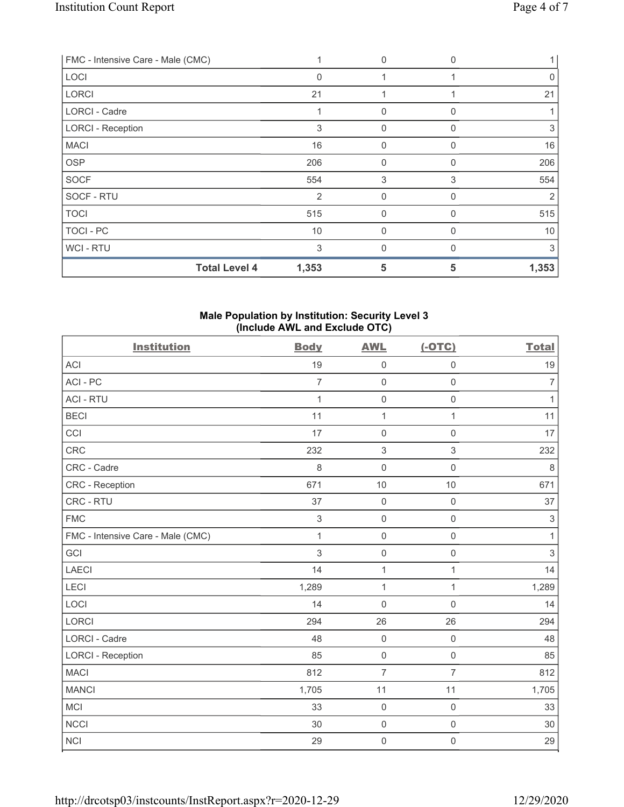| FMC - Intensive Care - Male (CMC) |                | $\mathbf{0}$ | <sup>0</sup> |       |
|-----------------------------------|----------------|--------------|--------------|-------|
| LOCI                              | $\Omega$       |              |              | 0     |
| <b>LORCI</b>                      | 21             |              |              | 21    |
| <b>LORCI - Cadre</b>              |                | $\mathbf{0}$ | U            |       |
| <b>LORCI - Reception</b>          | 3              | $\mathbf{0}$ | 0            | 3     |
| <b>MACI</b>                       | 16             | $\mathbf{0}$ | 0            | 16    |
| <b>OSP</b>                        | 206            | $\mathbf{0}$ | 0            | 206   |
| <b>SOCF</b>                       | 554            | 3            | 3            | 554   |
| SOCF - RTU                        | $\overline{2}$ | $\mathbf 0$  | O            | 2     |
| <b>TOCI</b>                       | 515            | $\mathbf 0$  | U            | 515   |
| TOCI-PC                           | 10             | $\mathbf{0}$ | 0            | 10    |
| WCI - RTU                         | 3              | $\mathbf{0}$ | <sup>0</sup> | 3     |
| <b>Total Level 4</b>              | 1,353          | 5            | 5            | 1,353 |

### Male Population by Institution: Security Level 3 (Include AWL and Exclude OTC)

| <b>Institution</b>                | <b>Body</b>    | <b>AWL</b>          | $(-OTC)$            | <b>Total</b>   |
|-----------------------------------|----------------|---------------------|---------------------|----------------|
| <b>ACI</b>                        | 19             | $\mathsf{O}\xspace$ | $\mathsf{O}\xspace$ | 19             |
| ACI-PC                            | $\overline{7}$ | $\mathsf 0$         | $\mathbf 0$         | $\overline{7}$ |
| <b>ACI - RTU</b>                  | 1              | $\mathsf 0$         | $\mathsf{O}\xspace$ | $\mathbf{1}$   |
| <b>BECI</b>                       | 11             | $\mathbf{1}$        | 1                   | 11             |
| CCI                               | 17             | $\mathbf 0$         | $\mathsf 0$         | 17             |
| CRC                               | 232            | $\sqrt{3}$          | 3                   | 232            |
| CRC - Cadre                       | 8              | $\mathbf 0$         | $\mathsf{O}\xspace$ | $\,8\,$        |
| CRC - Reception                   | 671            | 10                  | 10                  | 671            |
| CRC - RTU                         | 37             | $\mathsf{O}\xspace$ | $\mathsf{O}\xspace$ | 37             |
| <b>FMC</b>                        | $\mathfrak{S}$ | $\mathbf 0$         | $\mathbf 0$         | $\,$ 3 $\,$    |
| FMC - Intensive Care - Male (CMC) | $\mathbf{1}$   | $\mathsf 0$         | $\mathsf{O}\xspace$ | $\mathbf{1}$   |
| GCI                               | 3              | $\mathsf 0$         | $\mathsf 0$         | $\sqrt{3}$     |
| <b>LAECI</b>                      | 14             | $\mathbf{1}$        | 1                   | 14             |
| LECI                              | 1,289          | $\mathbf{1}$        | 1                   | 1,289          |
| LOCI                              | 14             | $\mathbf 0$         | $\mathbf 0$         | 14             |
| LORCI                             | 294            | 26                  | 26                  | 294            |
| <b>LORCI - Cadre</b>              | 48             | $\mathsf 0$         | $\mathsf{O}\xspace$ | 48             |
| <b>LORCI - Reception</b>          | 85             | $\mathsf 0$         | $\mathsf{O}\xspace$ | 85             |
| <b>MACI</b>                       | 812            | $\overline{7}$      | $\overline{7}$      | 812            |
| <b>MANCI</b>                      | 1,705          | 11                  | 11                  | 1,705          |
| <b>MCI</b>                        | 33             | $\mathsf 0$         | $\mathsf{O}\xspace$ | 33             |
| <b>NCCI</b>                       | 30             | $\mathsf{O}\xspace$ | $\mathbf 0$         | 30             |
| <b>NCI</b>                        | 29             | $\mathbf 0$         | $\mathsf{O}\xspace$ | 29             |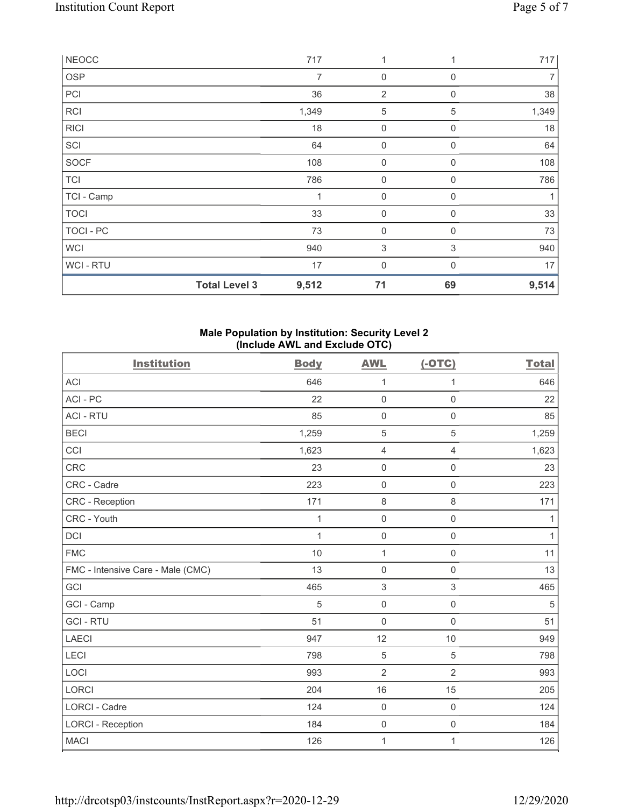| <b>NEOCC</b> |                      | 717            | 1              | 1           | 717   |
|--------------|----------------------|----------------|----------------|-------------|-------|
| OSP          |                      | $\overline{7}$ | $\mathbf 0$    | $\Omega$    | 7     |
| PCI          |                      | 36             | $\overline{2}$ | $\mathbf 0$ | 38    |
| <b>RCI</b>   |                      | 1,349          | $\mathbf 5$    | 5           | 1,349 |
| <b>RICI</b>  |                      | 18             | 0              | 0           | 18    |
| SCI          |                      | 64             | $\mathbf 0$    | $\mathbf 0$ | 64    |
| <b>SOCF</b>  |                      | 108            | $\mathbf 0$    | 0           | 108   |
| <b>TCI</b>   |                      | 786            | 0              | $\Omega$    | 786   |
| TCI - Camp   |                      | 1              | $\mathbf 0$    | 0           | 1     |
| <b>TOCI</b>  |                      | 33             | $\mathbf 0$    | $\Omega$    | 33    |
| TOCI - PC    |                      | 73             | $\mathbf 0$    | $\Omega$    | 73    |
| <b>WCI</b>   |                      | 940            | $\sqrt{3}$     | 3           | 940   |
| WCI - RTU    |                      | 17             | $\mathbf 0$    | $\Omega$    | 17    |
|              | <b>Total Level 3</b> | 9,512          | 71             | 69          | 9,514 |

### Male Population by Institution: Security Level 2 (Include AWL and Exclude OTC)

| <b>Institution</b>                | <b>Body</b>  | <b>AWL</b>          | $(-OTC)$            | <b>Total</b> |
|-----------------------------------|--------------|---------------------|---------------------|--------------|
| <b>ACI</b>                        | 646          | $\mathbf{1}$        | 1                   | 646          |
| ACI - PC                          | 22           | $\mathbf 0$         | $\mathsf 0$         | 22           |
| <b>ACI - RTU</b>                  | 85           | $\mathsf{O}\xspace$ | $\mathsf 0$         | 85           |
| <b>BECI</b>                       | 1,259        | 5                   | $\sqrt{5}$          | 1,259        |
| CCI                               | 1,623        | 4                   | $\overline{4}$      | 1,623        |
| CRC                               | 23           | $\mathsf{O}\xspace$ | $\mathsf{O}\xspace$ | 23           |
| CRC - Cadre                       | 223          | $\mathsf 0$         | $\mathbf 0$         | 223          |
| CRC - Reception                   | 171          | $\,8\,$             | $\,8\,$             | 171          |
| CRC - Youth                       | 1            | $\mathsf{O}\xspace$ | $\mathsf 0$         | 1            |
| DCI                               | $\mathbf{1}$ | $\mathsf 0$         | $\mathsf 0$         | $\mathbf{1}$ |
| <b>FMC</b>                        | 10           | $\mathbf{1}$        | $\mathsf{O}\xspace$ | 11           |
| FMC - Intensive Care - Male (CMC) | 13           | $\mathsf 0$         | $\mathsf 0$         | 13           |
| GCI                               | 465          | 3                   | 3                   | 465          |
| GCI - Camp                        | 5            | $\mathsf{O}\xspace$ | $\mathsf 0$         | 5            |
| <b>GCI-RTU</b>                    | 51           | $\mathbf 0$         | $\mathsf 0$         | 51           |
| <b>LAECI</b>                      | 947          | 12                  | 10                  | 949          |
| LECI                              | 798          | 5                   | $\sqrt{5}$          | 798          |
| LOCI                              | 993          | $\overline{2}$      | $\overline{2}$      | 993          |
| LORCI                             | 204          | 16                  | 15                  | 205          |
| LORCI - Cadre                     | 124          | $\mathbf 0$         | $\mathsf 0$         | 124          |
| <b>LORCI - Reception</b>          | 184          | $\mathsf{O}\xspace$ | $\mathsf{O}\xspace$ | 184          |
| <b>MACI</b>                       | 126          | $\mathbf 1$         | 1                   | 126          |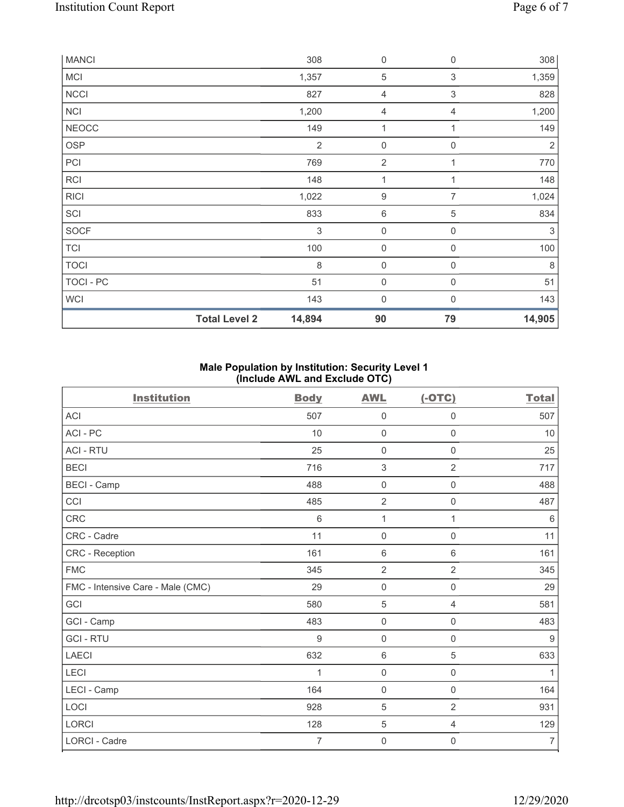| <b>MANCI</b> |                      | 308                       | 0                   | $\mathbf 0$      | 308        |
|--------------|----------------------|---------------------------|---------------------|------------------|------------|
| MCI          |                      | 1,357                     | $\sqrt{5}$          | 3                | 1,359      |
| <b>NCCI</b>  |                      | 827                       | 4                   | 3                | 828        |
| <b>NCI</b>   |                      | 1,200                     | 4                   | 4                | 1,200      |
| <b>NEOCC</b> |                      | 149                       | $\mathbf 1$         | 1                | 149        |
| <b>OSP</b>   |                      | $\overline{2}$            | 0                   | $\overline{0}$   | $\sqrt{2}$ |
| PCI          |                      | 769                       | $\overline{2}$      |                  | 770        |
| <b>RCI</b>   |                      | 148                       | 1                   | 1                | 148        |
| <b>RICI</b>  |                      | 1,022                     | $\boldsymbol{9}$    | $\overline{7}$   | 1,024      |
| SCI          |                      | 833                       | 6                   | 5                | 834        |
| SOCF         |                      | $\ensuremath{\mathsf{3}}$ | $\mathsf{O}\xspace$ | $\boldsymbol{0}$ | $\sqrt{3}$ |
| <b>TCI</b>   |                      | 100                       | $\mathsf{O}\xspace$ | $\mathbf 0$      | 100        |
| <b>TOCI</b>  |                      | $\,8\,$                   | $\mathsf{O}\xspace$ | $\mathbf 0$      | 8          |
| TOCI - PC    |                      | 51                        | $\mathbf 0$         | $\boldsymbol{0}$ | 51         |
| <b>WCI</b>   |                      | 143                       | 0                   | $\Omega$         | 143        |
|              | <b>Total Level 2</b> | 14,894                    | 90                  | 79               | 14,905     |

# Male Population by Institution: Security Level 1 (Include AWL and Exclude OTC)

| <b>Institution</b>                | <b>Body</b> | <b>AWL</b>          | $(-OTC)$            | <b>Total</b>   |
|-----------------------------------|-------------|---------------------|---------------------|----------------|
| <b>ACI</b>                        | 507         | $\boldsymbol{0}$    | $\boldsymbol{0}$    | 507            |
| ACI-PC                            | 10          | $\mathbf 0$         | $\mathsf{O}\xspace$ | $10$           |
| <b>ACI - RTU</b>                  | 25          | $\boldsymbol{0}$    | $\mathbf 0$         | 25             |
| <b>BECI</b>                       | 716         | $\sqrt{3}$          | $\overline{2}$      | 717            |
| <b>BECI - Camp</b>                | 488         | $\mathbf 0$         | 0                   | 488            |
| CCI                               | 485         | $\sqrt{2}$          | $\mathsf{O}\xspace$ | 487            |
| CRC                               | 6           | $\mathbf{1}$        | 1                   | $\,6$          |
| CRC - Cadre                       | 11          | 0                   | $\mathsf{O}\xspace$ | 11             |
| CRC - Reception                   | 161         | $\,6\,$             | 6                   | 161            |
| <b>FMC</b>                        | 345         | $\overline{2}$      | $\overline{2}$      | 345            |
| FMC - Intensive Care - Male (CMC) | 29          | $\mathsf{O}\xspace$ | $\mathsf{O}\xspace$ | 29             |
| GCI                               | 580         | $\sqrt{5}$          | 4                   | 581            |
| GCI - Camp                        | 483         | $\mathbf 0$         | $\mathsf{O}\xspace$ | 483            |
| <b>GCI-RTU</b>                    | 9           | $\mathbf 0$         | $\mathsf{O}\xspace$ | 9              |
| LAECI                             | 632         | $6\,$               | $\sqrt{5}$          | 633            |
| LECI                              | 1           | $\mathbf 0$         | $\mathsf{O}\xspace$ | 1              |
| LECI - Camp                       | 164         | $\mathbf 0$         | $\mathsf 0$         | 164            |
| LOCI                              | 928         | 5                   | $\overline{2}$      | 931            |
| <b>LORCI</b>                      | 128         | $\sqrt{5}$          | $\overline{4}$      | 129            |
| <b>LORCI - Cadre</b>              | 7           | $\mathbf 0$         | 0                   | $\overline{7}$ |